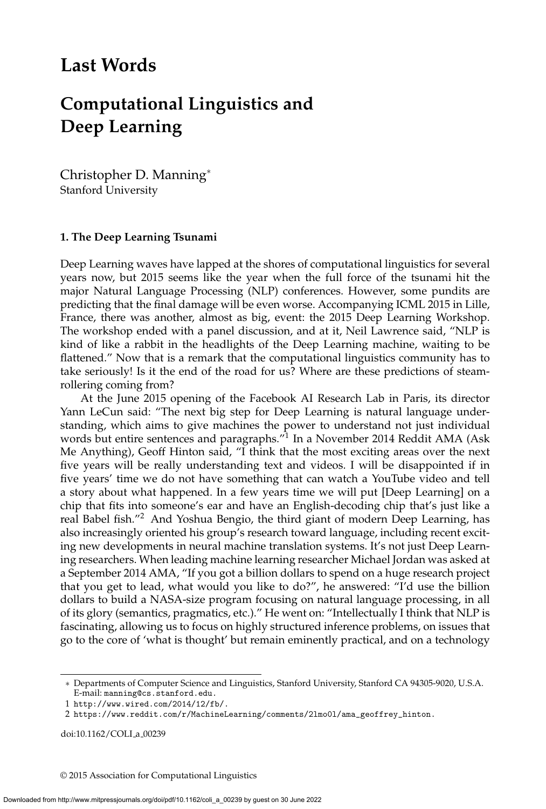## **Last Words**

# **Computational Linguistics and Deep Learning**

Christopher D. Manning<sup>∗</sup> Stanford University

#### **1. The Deep Learning Tsunami**

Deep Learning waves have lapped at the shores of computational linguistics for several years now, but 2015 seems like the year when the full force of the tsunami hit the major Natural Language Processing (NLP) conferences. However, some pundits are predicting that the final damage will be even worse. Accompanying ICML 2015 in Lille, France, there was another, almost as big, event: the 2015 Deep Learning Workshop. The workshop ended with a panel discussion, and at it, Neil Lawrence said, "NLP is kind of like a rabbit in the headlights of the Deep Learning machine, waiting to be flattened." Now that is a remark that the computational linguistics community has to take seriously! Is it the end of the road for us? Where are these predictions of steamrollering coming from?

At the June 2015 opening of the Facebook AI Research Lab in Paris, its director Yann LeCun said: "The next big step for Deep Learning is natural language understanding, which aims to give machines the power to understand not just individual words but entire sentences and paragraphs."<sup>1</sup> In a November 2014 Reddit AMA (Ask Me Anything), Geoff Hinton said, "I think that the most exciting areas over the next five years will be really understanding text and videos. I will be disappointed if in five years' time we do not have something that can watch a YouTube video and tell a story about what happened. In a few years time we will put [Deep Learning] on a chip that fits into someone's ear and have an English-decoding chip that's just like a real Babel fish."<sup>2</sup> And Yoshua Bengio, the third giant of modern Deep Learning, has also increasingly oriented his group's research toward language, including recent exciting new developments in neural machine translation systems. It's not just Deep Learning researchers. When leading machine learning researcher Michael Jordan was asked at a September 2014 AMA, "If you got a billion dollars to spend on a huge research project that you get to lead, what would you like to do?", he answered: "I'd use the billion dollars to build a NASA-size program focusing on natural language processing, in all of its glory (semantics, pragmatics, etc.)." He went on: "Intellectually I think that NLP is fascinating, allowing us to focus on highly structured inference problems, on issues that go to the core of 'what is thought' but remain eminently practical, and on a technology

doi:10.1162/COLI\_a\_00239

© 2015 Association for Computational Linguistics

<sup>∗</sup> Departments of Computer Science and Linguistics, Stanford University, Stanford CA 94305-9020, U.S.A. E-mail: manning@cs.stanford.edu.

<sup>1</sup> http://www.wired.com/2014/12/fb/.

<sup>2</sup> https://www.reddit.com/r/MachineLearning/comments/2lmo0l/ama\_geoffrey\_hinton.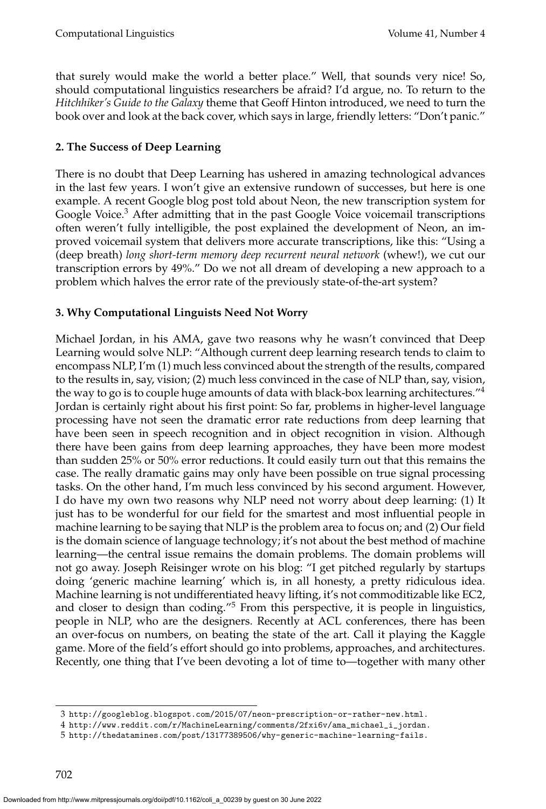that surely would make the world a better place." Well, that sounds very nice! So, should computational linguistics researchers be afraid? I'd argue, no. To return to the *Hitchhiker's Guide to the Galaxy* theme that Geoff Hinton introduced, we need to turn the book over and look at the back cover, which says in large, friendly letters: "Don't panic."

### **2. The Success of Deep Learning**

There is no doubt that Deep Learning has ushered in amazing technological advances in the last few years. I won't give an extensive rundown of successes, but here is one example. A recent Google blog post told about Neon, the new transcription system for Google Voice.<sup>3</sup> After admitting that in the past Google Voice voicemail transcriptions often weren't fully intelligible, the post explained the development of Neon, an improved voicemail system that delivers more accurate transcriptions, like this: "Using a (deep breath) *long short-term memory deep recurrent neural network* (whew!), we cut our transcription errors by 49%." Do we not all dream of developing a new approach to a problem which halves the error rate of the previously state-of-the-art system?

#### **3. Why Computational Linguists Need Not Worry**

Michael Jordan, in his AMA, gave two reasons why he wasn't convinced that Deep Learning would solve NLP: "Although current deep learning research tends to claim to encompass NLP, I'm (1) much less convinced about the strength of the results, compared to the results in, say, vision; (2) much less convinced in the case of NLP than, say, vision, the way to go is to couple huge amounts of data with black-box learning architectures."<sup>4</sup> Jordan is certainly right about his first point: So far, problems in higher-level language processing have not seen the dramatic error rate reductions from deep learning that have been seen in speech recognition and in object recognition in vision. Although there have been gains from deep learning approaches, they have been more modest than sudden 25% or 50% error reductions. It could easily turn out that this remains the case. The really dramatic gains may only have been possible on true signal processing tasks. On the other hand, I'm much less convinced by his second argument. However, I do have my own two reasons why NLP need not worry about deep learning: (1) It just has to be wonderful for our field for the smartest and most influential people in machine learning to be saying that NLP is the problem area to focus on; and (2) Our field is the domain science of language technology; it's not about the best method of machine learning—the central issue remains the domain problems. The domain problems will not go away. Joseph Reisinger wrote on his blog: "I get pitched regularly by startups doing 'generic machine learning' which is, in all honesty, a pretty ridiculous idea. Machine learning is not undifferentiated heavy lifting, it's not commoditizable like EC2, and closer to design than coding."<sup>5</sup> From this perspective, it is people in linguistics, people in NLP, who are the designers. Recently at ACL conferences, there has been an over-focus on numbers, on beating the state of the art. Call it playing the Kaggle game. More of the field's effort should go into problems, approaches, and architectures. Recently, one thing that I've been devoting a lot of time to—together with many other

<sup>3</sup> http://googleblog.blogspot.com/2015/07/neon-prescription-or-rather-new.html.

<sup>4</sup> http://www.reddit.com/r/MachineLearning/comments/2fxi6v/ama\_michael\_i\_jordan.

<sup>5</sup> http://thedatamines.com/post/13177389506/why-generic-machine-learning-fails.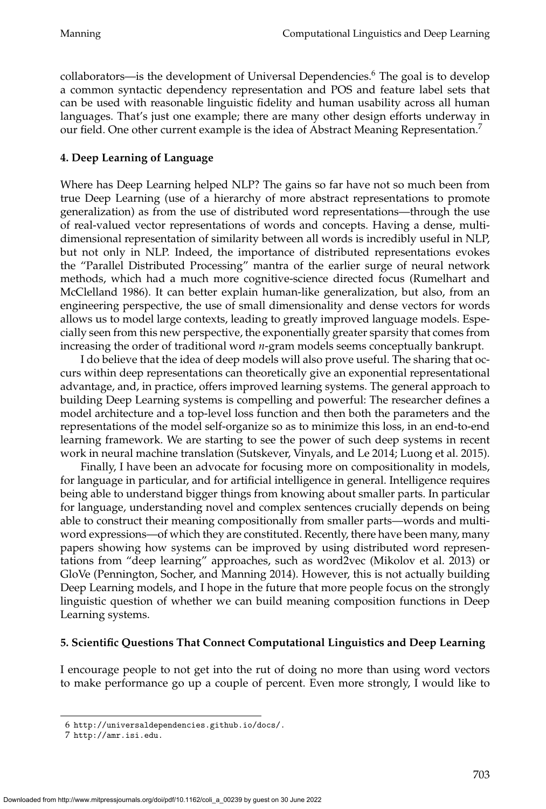collaborators—is the development of Universal Dependencies.<sup>6</sup> The goal is to develop a common syntactic dependency representation and POS and feature label sets that can be used with reasonable linguistic fidelity and human usability across all human languages. That's just one example; there are many other design efforts underway in our field. One other current example is the idea of Abstract Meaning Representation.<sup>7</sup>

#### **4. Deep Learning of Language**

Where has Deep Learning helped NLP? The gains so far have not so much been from true Deep Learning (use of a hierarchy of more abstract representations to promote generalization) as from the use of distributed word representations—through the use of real-valued vector representations of words and concepts. Having a dense, multidimensional representation of similarity between all words is incredibly useful in NLP, but not only in NLP. Indeed, the importance of distributed representations evokes the "Parallel Distributed Processing" mantra of the earlier surge of neural network methods, which had a much more cognitive-science directed focus (Rumelhart and McClelland 1986). It can better explain human-like generalization, but also, from an engineering perspective, the use of small dimensionality and dense vectors for words allows us to model large contexts, leading to greatly improved language models. Especially seen from this new perspective, the exponentially greater sparsity that comes from increasing the order of traditional word *n*-gram models seems conceptually bankrupt.

I do believe that the idea of deep models will also prove useful. The sharing that occurs within deep representations can theoretically give an exponential representational advantage, and, in practice, offers improved learning systems. The general approach to building Deep Learning systems is compelling and powerful: The researcher defines a model architecture and a top-level loss function and then both the parameters and the representations of the model self-organize so as to minimize this loss, in an end-to-end learning framework. We are starting to see the power of such deep systems in recent work in neural machine translation (Sutskever, Vinyals, and Le 2014; Luong et al. 2015).

Finally, I have been an advocate for focusing more on compositionality in models, for language in particular, and for artificial intelligence in general. Intelligence requires being able to understand bigger things from knowing about smaller parts. In particular for language, understanding novel and complex sentences crucially depends on being able to construct their meaning compositionally from smaller parts—words and multiword expressions—of which they are constituted. Recently, there have been many, many papers showing how systems can be improved by using distributed word representations from "deep learning" approaches, such as word2vec (Mikolov et al. 2013) or GloVe (Pennington, Socher, and Manning 2014). However, this is not actually building Deep Learning models, and I hope in the future that more people focus on the strongly linguistic question of whether we can build meaning composition functions in Deep Learning systems.

#### **5. Scientific Questions That Connect Computational Linguistics and Deep Learning**

I encourage people to not get into the rut of doing no more than using word vectors to make performance go up a couple of percent. Even more strongly, I would like to

<sup>6</sup> http://universaldependencies.github.io/docs/.

<sup>7</sup> http://amr.isi.edu.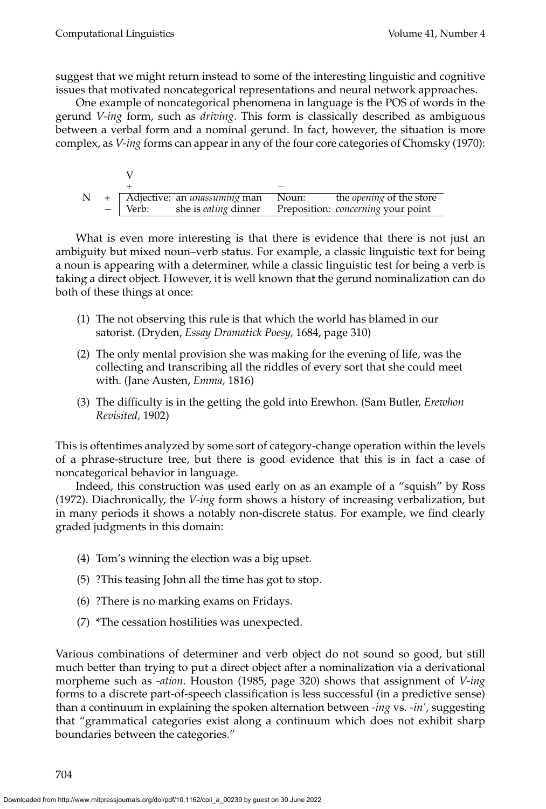suggest that we might return instead to some of the interesting linguistic and cognitive issues that motivated noncategorical representations and neural network approaches.

One example of noncategorical phenomena in language is the POS of words in the gerund *V-ing* form, such as *driving*. This form is classically described as ambiguous between a verbal form and a nominal gerund. In fact, however, the situation is more complex, as *V-ing* forms can appear in any of the four core categories of Chomsky (1970):

| N |      |         | + Adjective: an <i>unassuming</i> man Noun: | the <i>opening</i> of the store           |
|---|------|---------|---------------------------------------------|-------------------------------------------|
|   | $-1$ | ⊢ Verb: | she is <i>eating</i> dinner                 | Preposition: <i>concerning</i> your point |

What is even more interesting is that there is evidence that there is not just an ambiguity but mixed noun–verb status. For example, a classic linguistic text for being a noun is appearing with a determiner, while a classic linguistic test for being a verb is taking a direct object. However, it is well known that the gerund nominalization can do both of these things at once:

- (1) The not observing this rule is that which the world has blamed in our satorist. (Dryden, *Essay Dramatick Poesy,* 1684, page 310)
- (2) The only mental provision she was making for the evening of life, was the collecting and transcribing all the riddles of every sort that she could meet with. (Jane Austen, *Emma,* 1816)
- (3) The difficulty is in the getting the gold into Erewhon. (Sam Butler, *Erewhon Revisited,* 1902)

This is oftentimes analyzed by some sort of category-change operation within the levels of a phrase-structure tree, but there is good evidence that this is in fact a case of noncategorical behavior in language.

Indeed, this construction was used early on as an example of a "squish" by Ross (1972). Diachronically, the *V-ing* form shows a history of increasing verbalization, but in many periods it shows a notably non-discrete status. For example, we find clearly graded judgments in this domain:

- (4) Tom's winning the election was a big upset.
- (5) ?This teasing John all the time has got to stop.
- (6) ?There is no marking exams on Fridays.
- (7) \*The cessation hostilities was unexpected.

Various combinations of determiner and verb object do not sound so good, but still much better than trying to put a direct object after a nominalization via a derivational morpheme such as *-ation*. Houston (1985, page 320) shows that assignment of *V-ing* forms to a discrete part-of-speech classification is less successful (in a predictive sense) than a continuum in explaining the spoken alternation between *-ing* vs. *-in'*, suggesting that "grammatical categories exist along a continuum which does not exhibit sharp boundaries between the categories."

704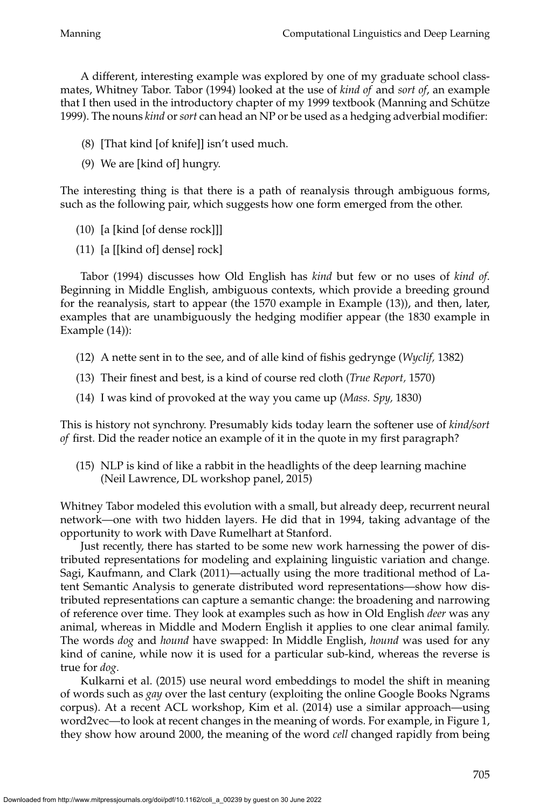A different, interesting example was explored by one of my graduate school classmates, Whitney Tabor. Tabor (1994) looked at the use of *kind of* and *sort of*, an example that I then used in the introductory chapter of my 1999 textbook (Manning and Schütze 1999). The nouns *kind* or*sort* can head an NP or be used as a hedging adverbial modifier:

- (8) [That kind [of knife]] isn't used much.
- (9) We are [kind of] hungry.

The interesting thing is that there is a path of reanalysis through ambiguous forms, such as the following pair, which suggests how one form emerged from the other.

- (10) [a [kind [of dense rock]]]
- (11) [a [[kind of] dense] rock]

Tabor (1994) discusses how Old English has *kind* but few or no uses of *kind of*. Beginning in Middle English, ambiguous contexts, which provide a breeding ground for the reanalysis, start to appear (the 1570 example in Example (13)), and then, later, examples that are unambiguously the hedging modifier appear (the 1830 example in Example (14)):

- (12) A nette sent in to the see, and of alle kind of fishis gedrynge (*Wyclif,* 1382)
- (13) Their finest and best, is a kind of course red cloth (*True Report,* 1570)
- (14) I was kind of provoked at the way you came up (*Mass. Spy,* 1830)

This is history not synchrony. Presumably kids today learn the softener use of *kind/sort of* first. Did the reader notice an example of it in the quote in my first paragraph?

(15) NLP is kind of like a rabbit in the headlights of the deep learning machine (Neil Lawrence, DL workshop panel, 2015)

Whitney Tabor modeled this evolution with a small, but already deep, recurrent neural network—one with two hidden layers. He did that in 1994, taking advantage of the opportunity to work with Dave Rumelhart at Stanford.

Just recently, there has started to be some new work harnessing the power of distributed representations for modeling and explaining linguistic variation and change. Sagi, Kaufmann, and Clark (2011)—actually using the more traditional method of Latent Semantic Analysis to generate distributed word representations—show how distributed representations can capture a semantic change: the broadening and narrowing of reference over time. They look at examples such as how in Old English *deer* was any animal, whereas in Middle and Modern English it applies to one clear animal family. The words *dog* and *hound* have swapped: In Middle English, *hound* was used for any kind of canine, while now it is used for a particular sub-kind, whereas the reverse is true for *dog*.

Kulkarni et al. (2015) use neural word embeddings to model the shift in meaning of words such as *gay* over the last century (exploiting the online Google Books Ngrams corpus). At a recent ACL workshop, Kim et al. (2014) use a similar approach—using word2vec—to look at recent changes in the meaning of words. For example, in Figure 1, they show how around 2000, the meaning of the word *cell* changed rapidly from being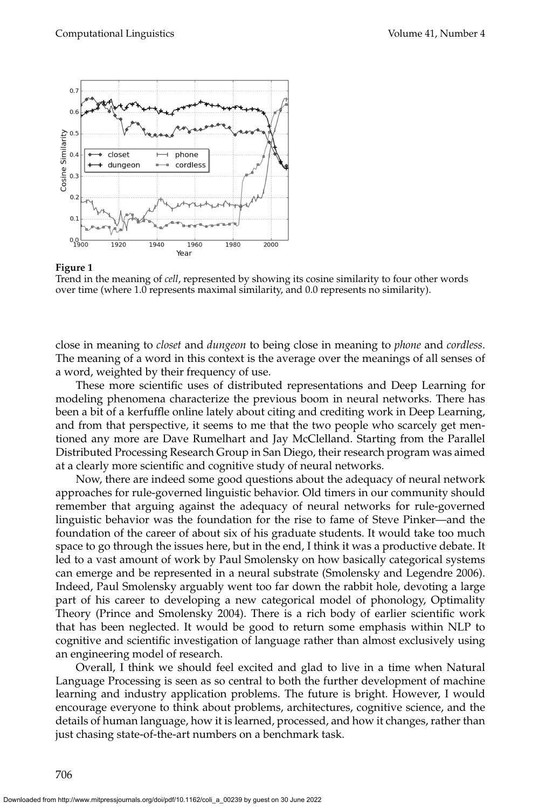

#### **Figure 1**

Trend in the meaning of *cell*, represented by showing its cosine similarity to four other words over time (where 1.0 represents maximal similarity, and 0.0 represents no similarity).

close in meaning to *closet* and *dungeon* to being close in meaning to *phone* and *cordless*. The meaning of a word in this context is the average over the meanings of all senses of a word, weighted by their frequency of use.

These more scientific uses of distributed representations and Deep Learning for modeling phenomena characterize the previous boom in neural networks. There has been a bit of a kerfuffle online lately about citing and crediting work in Deep Learning, and from that perspective, it seems to me that the two people who scarcely get mentioned any more are Dave Rumelhart and Jay McClelland. Starting from the Parallel Distributed Processing Research Group in San Diego, their research program was aimed at a clearly more scientific and cognitive study of neural networks.

Now, there are indeed some good questions about the adequacy of neural network approaches for rule-governed linguistic behavior. Old timers in our community should remember that arguing against the adequacy of neural networks for rule-governed linguistic behavior was the foundation for the rise to fame of Steve Pinker—and the foundation of the career of about six of his graduate students. It would take too much space to go through the issues here, but in the end, I think it was a productive debate. It led to a vast amount of work by Paul Smolensky on how basically categorical systems can emerge and be represented in a neural substrate (Smolensky and Legendre 2006). Indeed, Paul Smolensky arguably went too far down the rabbit hole, devoting a large part of his career to developing a new categorical model of phonology, Optimality Theory (Prince and Smolensky 2004). There is a rich body of earlier scientific work that has been neglected. It would be good to return some emphasis within NLP to cognitive and scientific investigation of language rather than almost exclusively using an engineering model of research.

Overall, I think we should feel excited and glad to live in a time when Natural Language Processing is seen as so central to both the further development of machine learning and industry application problems. The future is bright. However, I would encourage everyone to think about problems, architectures, cognitive science, and the details of human language, how it is learned, processed, and how it changes, rather than just chasing state-of-the-art numbers on a benchmark task.